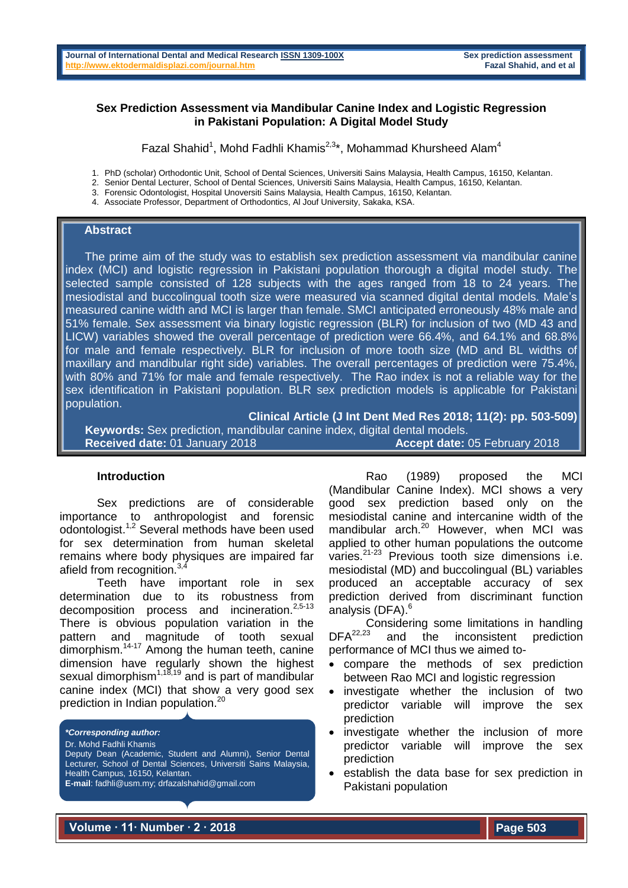## **Sex Prediction Assessment via Mandibular Canine Index and Logistic Regression in Pakistani Population: A Digital Model Study**

Fazal Shahid<sup>1</sup>, Mohd Fadhli Khamis<sup>2,3\*</sup>, Mohammad Khursheed Alam<sup>4</sup>

1. PhD (scholar) Orthodontic Unit, School of Dental Sciences, Universiti Sains Malaysia, Health Campus, 16150, Kelantan.

2. Senior Dental Lecturer, School of Dental Sciences, Universiti Sains Malaysia, Health Campus, 16150, Kelantan.

- 3. Forensic Odontologist, Hospital Unoversiti Sains Malaysia, Health Campus, 16150, Kelantan.
- 4. Associate Professor, Department of Orthodontics, Al Jouf University, Sakaka, KSA.

# **Abstract**

 The prime aim of the study was to establish sex prediction assessment via mandibular canine index (MCI) and logistic regression in Pakistani population thorough a digital model study. The selected sample consisted of 128 subjects with the ages ranged from 18 to 24 years. The mesiodistal and buccolingual tooth size were measured via scanned digital dental models. Male's measured canine width and MCI is larger than female. SMCI anticipated erroneously 48% male and 51% female. Sex assessment via binary logistic regression (BLR) for inclusion of two (MD 43 and LICW) variables showed the overall percentage of prediction were 66.4%, and 64.1% and 68.8% for male and female respectively. BLR for inclusion of more tooth size (MD and BL widths of maxillary and mandibular right side) variables. The overall percentages of prediction were 75.4%, with 80% and 71% for male and female respectively. The Rao index is not a reliable way for the sex identification in Pakistani population. BLR sex prediction models is applicable for Pakistani population.

**Clinical Article (J Int Dent Med Res 2018; 11(2): pp. 503-509)** 

 **Keywords:** Sex prediction, mandibular canine index, digital dental models. **Received date:** 01 January 2018 **Accept date:** 05 February 2018

#### **Introduction**

Sex predictions are of considerable importance to anthropologist and forensic odontologist.<sup>1,2</sup> Several methods have been used for sex determination from human skeletal remains where body physiques are impaired far afield from recognition.<sup>3,4</sup>

Teeth have important role in sex determination due to its robustness from decomposition process and incineration.<sup>2,5-13</sup> There is obvious population variation in the pattern and magnitude of tooth sexual dimorphism.<sup>14-17</sup> Among the human teeth, canine dimension have regularly shown the highest sexual dimorphism<sup>1,18,19</sup> and is part of mandibular canine index (MCI) that show a very good sex prediction in Indian population.<sup>20</sup>

*\*Corresponding author:*

Dr. Mohd Fadhli Khamis

Deputy Dean (Academic, Student and Alumni), Senior Dental Lecturer, School of Dental Sciences, Universiti Sains Malaysia, Health Campus, 16150, Kelantan. **E-mail**: fadhli@usm.my; drfazalshahid@gmail.com

Rao (1989) proposed the MCI (Mandibular Canine Index). MCI shows a very good sex prediction based only on the mesiodistal canine and intercanine width of the mandibular arch. <sup>20</sup> However, when MCI was applied to other human populations the outcome varies.21-23 Previous tooth size dimensions i.e. mesiodistal (MD) and buccolingual (BL) variables produced an acceptable accuracy of sex prediction derived from discriminant function analysis (DFA). 6

Considering some limitations in handling<br>DFA<sup>22,23</sup> and the inconsistent prediction and the inconsistent prediction performance of MCI thus we aimed to-

- compare the methods of sex prediction between Rao MCI and logistic regression
- investigate whether the inclusion of two predictor variable will improve the sex prediction
- investigate whether the inclusion of more predictor variable will improve the sex prediction
- establish the data base for sex prediction in Pakistani population

**Volume ∙ 11∙ Number ∙ 2 ∙ 2018**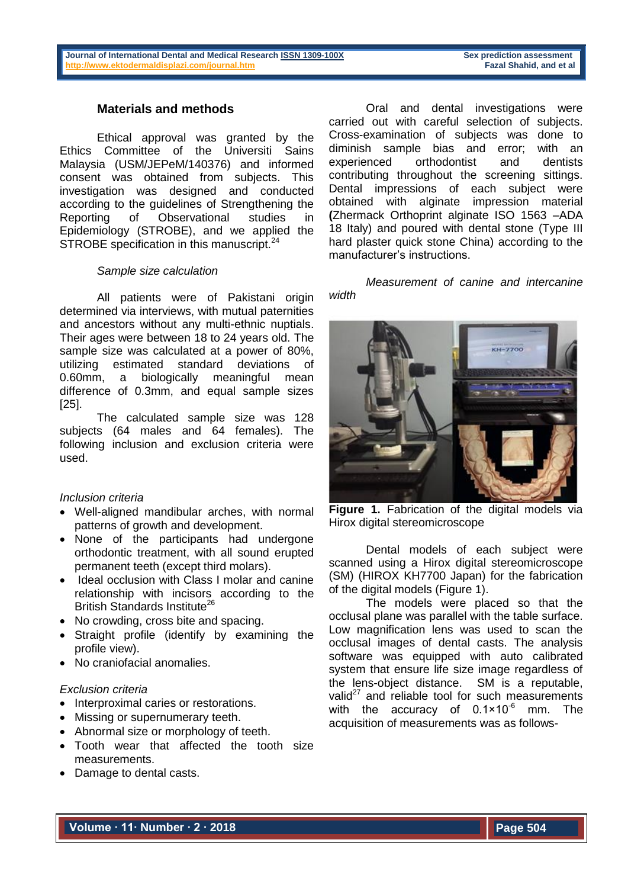# **Materials and methods**

Ethical approval was granted by the Ethics Committee of the Universiti Sains Malaysia (USM/JEPeM/140376) and informed consent was obtained from subjects. This investigation was designed and conducted according to the guidelines of Strengthening the Reporting of Observational studies in Epidemiology (STROBE), and we applied the STROBE specification in this manuscript.<sup>24</sup>

# *Sample size calculation*

All patients were of Pakistani origin determined via interviews, with mutual paternities and ancestors without any multi-ethnic nuptials. Their ages were between 18 to 24 years old. The sample size was calculated at a power of 80%, utilizing estimated standard deviations of 0.60mm, a biologically meaningful mean difference of 0.3mm, and equal sample sizes [25].

The calculated sample size was 128 subjects (64 males and 64 females). The following inclusion and exclusion criteria were used.

# *Inclusion criteria*

- Well-aligned mandibular arches, with normal patterns of growth and development.
- None of the participants had undergone orthodontic treatment, with all sound erupted permanent teeth (except third molars).
- Ideal occlusion with Class I molar and canine relationship with incisors according to the British Standards Institute<sup>26</sup>
- No crowding, cross bite and spacing.
- Straight profile (identify by examining the profile view).
- No craniofacial anomalies.

#### *Exclusion criteria*

- Interproximal caries or restorations.
- Missing or supernumerary teeth.
- Abnormal size or morphology of teeth.
- Tooth wear that affected the tooth size measurements.
- Damage to dental casts.

Oral and dental investigations were carried out with careful selection of subjects. Cross-examination of subjects was done to diminish sample bias and error; with an experienced orthodontist and dentists contributing throughout the screening sittings. Dental impressions of each subject were obtained with alginate impression material **(**Zhermack Orthoprint alginate ISO 1563 –ADA 18 Italy) and poured with dental stone (Type III hard plaster quick stone China) according to the manufacturer's instructions.

*Measurement of canine and intercanine width*



**Figure 1.** Fabrication of the digital models via Hirox digital stereomicroscope

Dental models of each subject were scanned using a Hirox digital stereomicroscope (SM) (HIROX KH7700 Japan) for the fabrication of the digital models (Figure 1).

The models were placed so that the occlusal plane was parallel with the table surface. Low magnification lens was used to scan the occlusal images of dental casts. The analysis software was equipped with auto calibrated system that ensure life size image regardless of the lens-object distance. SM is a reputable, valid $^{27}$  and reliable tool for such measurements with the accuracy of  $0.1 \times 10^{-6}$  mm. The acquisition of measurements was as follows-

**Volume ∙ 11∙ Number ∙ 2 ∙ 2018**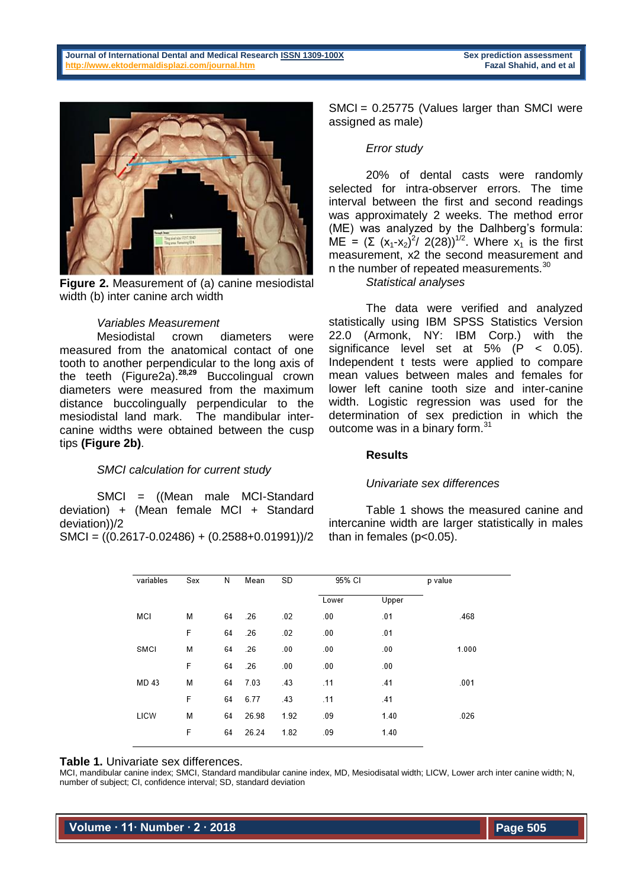

**Figure 2.** Measurement of (a) canine mesiodistal width (b) inter canine arch width

## *Variables Measurement*

Mesiodistal crown diameters were measured from the anatomical contact of one tooth to another perpendicular to the long axis of the teeth (Figure2a).**28,29** Buccolingual crown diameters were measured from the maximum distance buccolingually perpendicular to the mesiodistal land mark. The mandibular intercanine widths were obtained between the cusp tips **(Figure 2b)**.

# *SMCI calculation for current study*

SMCI = ((Mean male MCI-Standard deviation) + (Mean female MCI + Standard deviation))/2  $SMCI = ((0.2617 - 0.02486) + (0.2588 + 0.01991))/2$ 

SMCI = 0.25775 (Values larger than SMCI were assigned as male)

## *Error study*

20% of dental casts were randomly selected for intra-observer errors. The time interval between the first and second readings was approximately 2 weeks. The method error (ME) was analyzed by the Dalhberg's formula: ME =  $(Σ (x₁-x₂)^2/ 2(28))^{1/2}$ . Where  $x₁$  is the first measurement, x2 the second measurement and n the number of repeated measurements.<sup>30</sup>

*Statistical analyses*

The data were verified and analyzed statistically using IBM SPSS Statistics Version 22.0 (Armonk, NY: IBM Corp.) with the significance level set at  $5\%$   $(P < 0.05)$ . Independent t tests were applied to compare mean values between males and females for lower left canine tooth size and inter-canine width. Logistic regression was used for the determination of sex prediction in which the outcome was in a binary form.<sup>31</sup>

## **Results**

#### *Univariate sex differences*

Table 1 shows the measured canine and intercanine width are larger statistically in males than in females (p<0.05).

| MCI   | M<br>F | 64 | .26   | .02  | Lower | Upper |       |
|-------|--------|----|-------|------|-------|-------|-------|
|       |        |    |       |      |       |       |       |
|       |        |    |       |      | .00   | .01   | .468  |
|       |        | 64 | .26   | .02  | .00   | .01   |       |
| SMCI  | M      | 64 | .26   | .00  | .00   | .00   | 1.000 |
|       | F      | 64 | .26   | .00  | .00   | .00   |       |
| MD 43 | M      | 64 | 7.03  | .43  | .11   | .41   | .001  |
|       | F      | 64 | 6.77  | .43  | .11   | .41   |       |
| LICW  | M      | 64 | 26.98 | 1.92 | .09   | 1.40  | .026  |
|       | F      | 64 | 26.24 | 1.82 | .09   | 1.40  |       |

#### **Table 1.** Univariate sex differences.

MCI, mandibular canine index; SMCI, Standard mandibular canine index, MD, Mesiodisatal width; LICW, Lower arch inter canine width; N, number of subject; CI, confidence interval; SD, standard deviation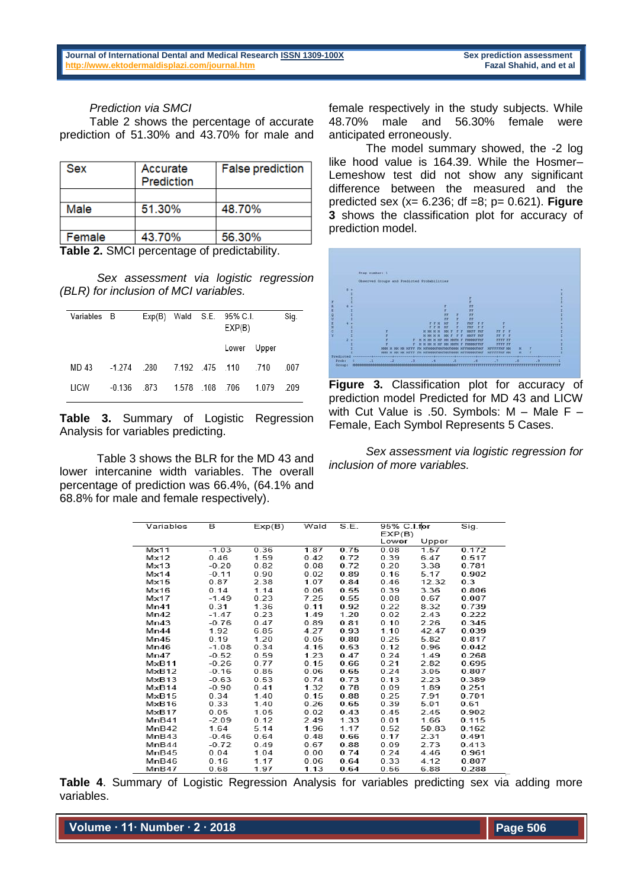*Prediction via SMCI*

Table 2 shows the percentage of accurate prediction of 51.30% and 43.70% for male and

| <b>Sex</b> | Accurate<br>Prediction | <b>False prediction</b> |
|------------|------------------------|-------------------------|
|            |                        |                         |
| Male       | 51.30%                 | 48.70%                  |
|            |                        |                         |
| Female     | 43.70%                 | 56.30%                  |

**Table 2.** SMCI percentage of predictability.

*Sex assessment via logistic regression (BLR) for inclusion of MCI variables.*

| Variables B |               |      |                 | $Exp(B)$ Wald S.E. 95% C.I.<br>EXP(B) |       | Sig. |
|-------------|---------------|------|-----------------|---------------------------------------|-------|------|
|             |               |      |                 | Lower                                 | Upper |      |
| MD 43       | $-1.274$ .280 |      | 7.192 .475 .110 |                                       | 710   | -007 |
| LICW        | $-0.136$      | -873 | 1.578 108 706   |                                       | 1.079 | -209 |

**Table 3.** Summary of Logistic Regression Analysis for variables predicting.

Table 3 shows the BLR for the MD 43 and lower intercanine width variables. The overall percentage of prediction was 66.4%, (64.1% and 68.8% for male and female respectively).

female respectively in the study subjects. While 48.70% male and 56.30% female were anticipated erroneously.

The model summary showed, the -2 log like hood value is 164.39. While the Hosmer– Lemeshow test did not show any significant difference between the measured and the predicted sex (x= 6.236; df =8; p= 0.621). **Figure 3** shows the classification plot for accuracy of prediction model.



**Figure 3.** Classification plot for accuracy of prediction model Predicted for MD 43 and LICW with Cut Value is .50. Symbols: M – Male F – Female, Each Symbol Represents 5 Cases.

*Sex assessment via logistic regression for inclusion of more variables.*

| Variables      | в       | Exp(B) | Wald | S.E. | 95% C.I.fpr<br>EXP(B) |       | Sig.  |
|----------------|---------|--------|------|------|-----------------------|-------|-------|
|                |         |        |      |      | Lower                 | Upper |       |
| $M \times 11$  | $-1.03$ | 0.36   | 1.87 | 0.75 | 0.08                  | 1.57  | 0.172 |
| Mx12           | 0.46    | 1.59   | 0.42 | 0.72 | 0.39                  | 6.47  | 0.517 |
| Mx13           | $-0.20$ | 0.82   | 0.08 | 0.72 | 0.20                  | 3.38  | 0.781 |
| $M \times 14$  | $-0.11$ | 0.90   | 0.02 | 0.89 | 0.16                  | 5.17  | 0.902 |
| Mx15           | 0.87    | 2.38   | 1.07 | 0.84 | 0.46                  | 12.32 | 0.3   |
| Mx16           | 0.14    | 1.14   | 0.06 | 0.55 | 0.39                  | 3.36  | 0.806 |
| $M \times 17$  | $-1.49$ | 0.23   | 7.25 | 0.55 | 0.08                  | 0.67  | 0.007 |
| Mn41           | 0.31    | 1.36   | 0.11 | 0.92 | 0.22                  | 8.32  | 0.739 |
| Mn42           | $-1.47$ | 0.23   | 1.49 | 1.20 | 0.02                  | 2.43  | 0.222 |
| Mn43           | $-0.76$ | 0.47   | 0.89 | 0.81 | 0.10                  | 2.26  | 0.345 |
| Mn44           | 1.92    | 6.85   | 4.27 | 0.93 | 1.10                  | 42.47 | 0.039 |
| Mn45           | 0.19    | 1.20   | 0.05 | 0.80 | 0.25                  | 5.82  | 0.817 |
| Mn46           | $-1.08$ | 0.34   | 4.15 | 0.53 | 0.12                  | 0.96  | 0.042 |
| Mn47           | $-0.52$ | 0.59   | 1.23 | 0.47 | 0.24                  | 1.49  | 0.268 |
| MxB11          | $-0.26$ | 0.77   | 0.15 | 0.66 | 0.21                  | 2.82  | 0.695 |
| MxB12          | $-0.16$ | 0.85   | 0.06 | 0.65 | 0.24                  | 3.05  | 0.807 |
| $M \times B13$ | $-0.63$ | 0.53   | 0.74 | 0.73 | 0.13                  | 2.23  | 0.389 |
| MxB14          | $-0.90$ | 0.41   | 1.32 | 0.78 | 0.09                  | 1.89  | 0.251 |
| $M \times B15$ | 0.34    | 1.40   | 0.15 | 0.88 | 0.25                  | 7.91  | 0.701 |
| MxB16          | 0.33    | 1.40   | 0.26 | 0.65 | 0.39                  | 5.01  | 0.61  |
| $M \times B17$ | 0.05    | 1.05   | 0.02 | 0.43 | 0.45                  | 2.45  | 0.902 |
| MnB41          | $-2.09$ | 0.12   | 2.49 | 1.33 | 0.01                  | 1.66  | 0.115 |
| MnB42          | 1.64    | 5.14   | 1.96 | 1.17 | 0.52                  | 50.83 | 0.162 |
| MnB43          | $-0.46$ | 0.64   | 0.48 | 0.66 | 0.17                  | 2.31  | 0.491 |
| MnB44          | $-0.72$ | 0.49   | 0.67 | 0.88 | 0.09                  | 2.73  | 0.413 |
| MnB45          | 0.04    | 1.04   | 0.00 | 0.74 | 0.24                  | 4.46  | 0.961 |
| MnB46          | 0.16    | 1.17   | 0.06 | 0.64 | 0.33                  | 4.12  | 0.807 |
| MnB47          | 0.68    | 1.97   | 1.13 | 0.64 | 0.56                  | 6.88  | 0.288 |

**Table 4**. Summary of Logistic Regression Analysis for variables predicting sex via adding more variables.

**Volume ∙ 11∙ Number ∙ 2 ∙ 2018**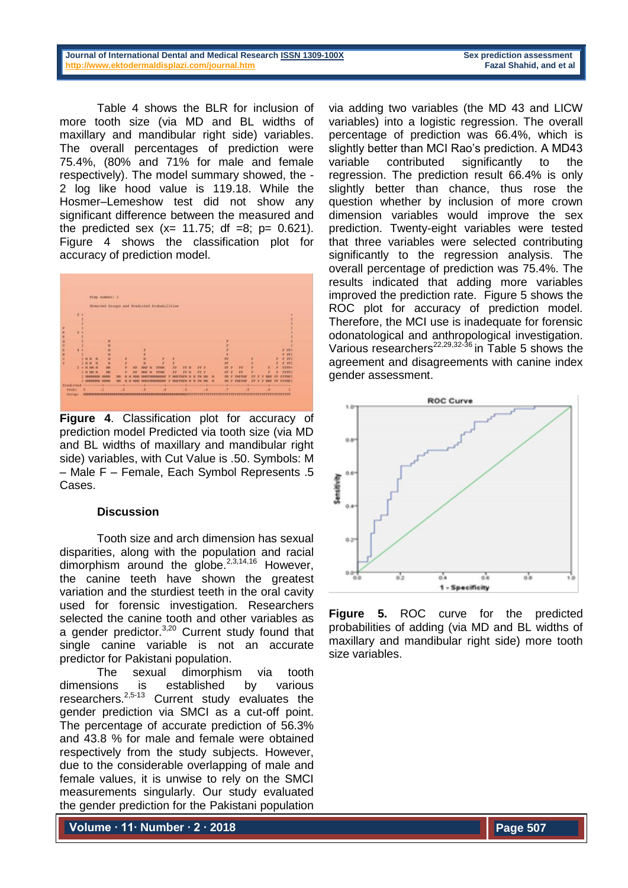**Journal of International Dental and Medical Researc[h ISSN 1309-100X](http://www.ektodermaldisplazi.com/dergi.htm) Sex prediction assessment <http://www.ektodermaldisplazi.com/journal.htm>Fazal Shahid, and et al**

Table 4 shows the BLR for inclusion of more tooth size (via MD and BL widths of maxillary and mandibular right side) variables. The overall percentages of prediction were 75.4%, (80% and 71% for male and female respectively). The model summary showed, the - 2 log like hood value is 119.18. While the Hosmer–Lemeshow test did not show any significant difference between the measured and the predicted sex  $(x= 11.75; df = 8; p = 0.621)$ . Figure 4 shows the classification plot for accuracy of prediction model.



**Figure 4**. Classification plot for accuracy of prediction model Predicted via tooth size (via MD and BL widths of maxillary and mandibular right side) variables, with Cut Value is .50. Symbols: M – Male F – Female, Each Symbol Represents .5 Cases.

# **Discussion**

Tooth size and arch dimension has sexual disparities, along with the population and racial dimorphism around the globe. $2,3,14,16$  However. the canine teeth have shown the greatest variation and the sturdiest teeth in the oral cavity used for forensic investigation. Researchers selected the canine tooth and other variables as a gender predictor. $3,20$  Current study found that single canine variable is not an accurate predictor for Pakistani population.

The sexual dimorphism via tooth dimensions is established by various researchers.<sup>2,5-13</sup> Current study evaluates the gender prediction via SMCI as a cut-off point. The percentage of accurate prediction of 56.3% and 43.8 % for male and female were obtained respectively from the study subjects. However, due to the considerable overlapping of male and female values, it is unwise to rely on the SMCI measurements singularly. Our study evaluated the gender prediction for the Pakistani population

**Volume ∙ 11∙ Number ∙ 2 ∙ 2018**

via adding two variables (the MD 43 and LICW variables) into a logistic regression. The overall percentage of prediction was 66.4%, which is slightly better than MCI Rao's prediction. A MD43 variable contributed significantly to the regression. The prediction result 66.4% is only slightly better than chance, thus rose the question whether by inclusion of more crown dimension variables would improve the sex prediction. Twenty-eight variables were tested that three variables were selected contributing significantly to the regression analysis. The overall percentage of prediction was 75.4%. The results indicated that adding more variables improved the prediction rate. Figure 5 shows the ROC plot for accuracy of prediction model. Therefore, the MCI use is inadequate for forensic odonatological and anthropological investigation. Various researchers<sup>22,29,32-36</sup> in Table 5 shows the agreement and disagreements with canine index gender assessment.



**Figure 5.** ROC curve for the predicted probabilities of adding (via MD and BL widths of maxillary and mandibular right side) more tooth size variables.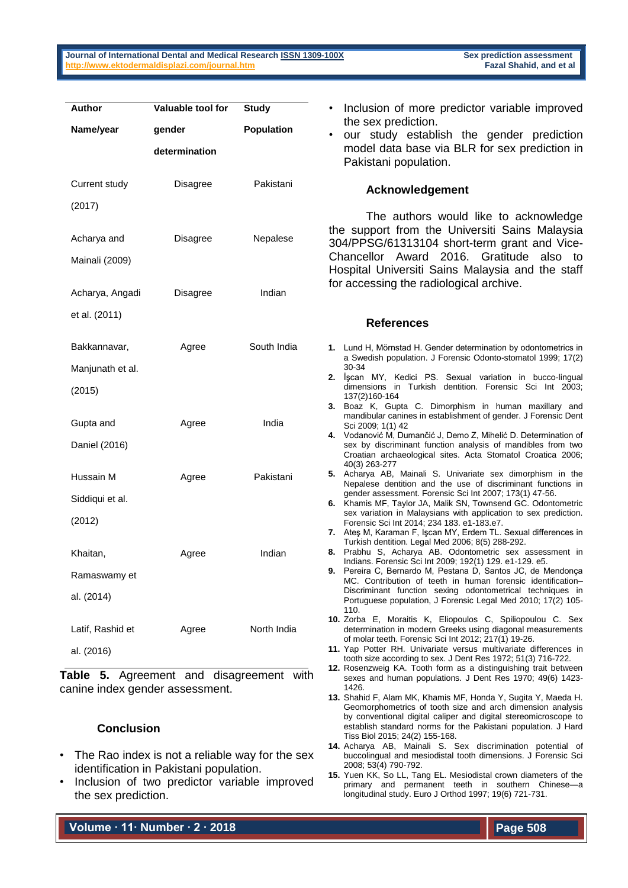| <b>Author</b>    | Valuable tool for | <b>Study</b> |          |
|------------------|-------------------|--------------|----------|
| Name/year        | gender            | Population   |          |
|                  | determination     |              |          |
| Current study    | Disagree          | Pakistani    |          |
| (2017)           |                   |              |          |
| Acharya and      | Disagree          | Nepalese     | th<br>30 |
| Mainali (2009)   |                   |              | CI<br>H  |
| Acharya, Angadi  | Disagree          | Indian       | fo       |
| et al. (2011)    |                   |              |          |
| Bakkannavar,     | Agree             | South India  | 1.       |
| Manjunath et al. |                   |              |          |
| (2015)           |                   |              | 2.       |
| Gupta and        | Agree             | India        | 3.       |
| Daniel (2016)    |                   |              | 4.       |
| Hussain M        | Agree             | Pakistani    | 5.       |
| Siddiqui et al.  |                   |              | 6.       |
| (2012)           |                   |              |          |
| Khaitan,         | Agree             | Indian       | 7.<br>8. |
| Ramaswamy et     |                   |              | 9.       |
| al. (2014)       |                   |              |          |
| Latif, Rashid et | Agree             | North India  | 10.      |
| al. (2016)       |                   |              | 11.      |
|                  |                   |              |          |

**Table 5.** Agreement and disagreement with canine index gender assessment.

# **Conclusion**

- The Rao index is not a reliable way for the sex identification in Pakistani population.
- Inclusion of two predictor variable improved the sex prediction.

**Volume ∙ 11∙ Number ∙ 2 ∙ 2018**

- Inclusion of more predictor variable improved the sex prediction.
- our study establish the gender prediction model data base via BLR for sex prediction in Pakistani population.

## **Acknowledgement**

The authors would like to acknowledge e support from the Universiti Sains Malaysia 304/PPSG/61313104 short-term grant and Vicehancellor Award 2016. Gratitude also to ospital Universiti Sains Malaysia and the staff r accessing the radiological archive.

#### **References**

- **1.** Lund H, Mörnstad H. Gender determination by odontometrics in a Swedish population. J Forensic Odonto-stomatol 1999; 17(2) 30-34
- **2.** İşcan MY, Kedici PS. Sexual variation in bucco-lingual dimensions in Turkish dentition. Forensic Sci Int 2003; 137(2)160-164
- **3.** Boaz K, Gupta C. Dimorphism in human maxillary and mandibular canines in establishment of gender. J Forensic Dent Sci 2009; 1(1) 42
- **4.** Vodanović M, Dumančić J, Demo Z, Mihelić D. Determination of sex by discriminant function analysis of mandibles from two Croatian archaeological sites. Acta Stomatol Croatica 2006; 40(3) 263-277
- **5.** Acharya AB, Mainali S. Univariate sex dimorphism in the Nepalese dentition and the use of discriminant functions in gender assessment. Forensic Sci Int 2007; 173(1) 47-56.
- **6.** Khamis MF, Taylor JA, Malik SN, Townsend GC. Odontometric sex variation in Malaysians with application to sex prediction. Forensic Sci Int 2014; 234 183. e1-183.e7.
- **7.** Ateş M, Karaman F, Işcan MY, Erdem TL. Sexual differences in Turkish dentition. Legal Med 2006; 8(5) 288-292.
- **8.** Prabhu S, Acharya AB. Odontometric sex assessment in Indians. Forensic Sci Int 2009; 192(1) 129. e1-129. e5.
- Pereira C, Bernardo M, Pestana D, Santos JC, de Mendonça MC. Contribution of teeth in human forensic identification– Discriminant function sexing odontometrical techniques in Portuguese population, J Forensic Legal Med 2010; 17(2) 105- 110.
- **10.** Zorba E, Moraitis K, Eliopoulos C, Spiliopoulou C. Sex determination in modern Greeks using diagonal measurements of molar teeth. Forensic Sci Int 2012; 217(1) 19-26.
- **11.** Yap Potter RH. Univariate versus multivariate differences in tooth size according to sex. J Dent Res 1972; 51(3) 716-722.
- **12.** Rosenzweig KA. Tooth form as a distinguishing trait between sexes and human populations. J Dent Res 1970; 49(6) 1423- 1426.
- **13.** Shahid F, Alam MK, Khamis MF, Honda Y, Sugita Y, Maeda H. Geomorphometrics of tooth size and arch dimension analysis by conventional digital caliper and digital stereomicroscope to establish standard norms for the Pakistani population. J Hard Tiss Biol 2015; 24(2) 155-168.
- **14.** Acharya AB, Mainali S. Sex discrimination potential of buccolingual and mesiodistal tooth dimensions. J Forensic Sci 2008; 53(4) 790-792.
- **15.** Yuen KK, So LL, Tang EL. Mesiodistal crown diameters of the primary and permanent teeth in southern Chinese—a longitudinal study. Euro J Orthod 1997; 19(6) 721-731.